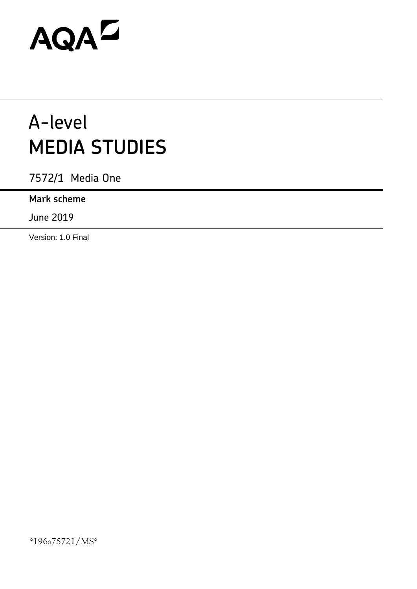# AQAD

# A-level **MEDIA STUDIES**

7572/1 Media One

# **Mark scheme**

June 2019

Version: 1.0 Final

\*196a75721/MS\*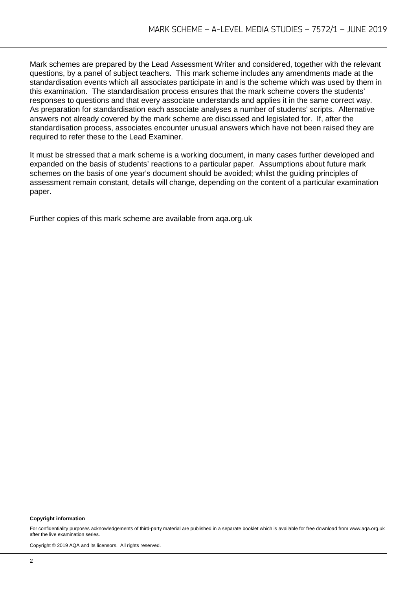Mark schemes are prepared by the Lead Assessment Writer and considered, together with the relevant questions, by a panel of subject teachers. This mark scheme includes any amendments made at the standardisation events which all associates participate in and is the scheme which was used by them in this examination. The standardisation process ensures that the mark scheme covers the students' responses to questions and that every associate understands and applies it in the same correct way. As preparation for standardisation each associate analyses a number of students' scripts. Alternative answers not already covered by the mark scheme are discussed and legislated for. If, after the standardisation process, associates encounter unusual answers which have not been raised they are required to refer these to the Lead Examiner.

It must be stressed that a mark scheme is a working document, in many cases further developed and expanded on the basis of students' reactions to a particular paper. Assumptions about future mark schemes on the basis of one year's document should be avoided; whilst the guiding principles of assessment remain constant, details will change, depending on the content of a particular examination paper.

Further copies of this mark scheme are available from aqa.org.uk

#### **Copyright information**

For confidentiality purposes acknowledgements of third-party material are published in a separate booklet which is available for free download from www.aga.org.uk after the live examination series.

Copyright © 2019 AQA and its licensors. All rights reserved.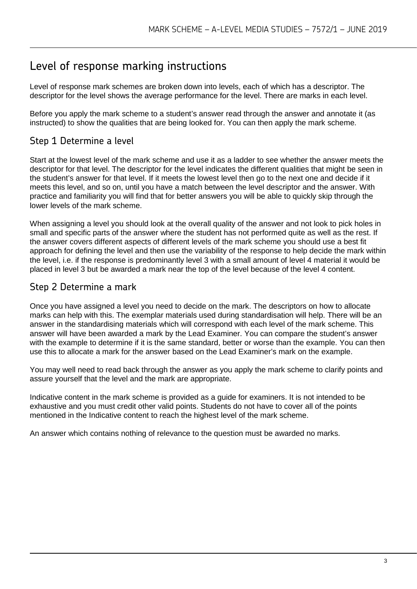# Level of response marking instructions

Level of response mark schemes are broken down into levels, each of which has a descriptor. The descriptor for the level shows the average performance for the level. There are marks in each level.

Before you apply the mark scheme to a student's answer read through the answer and annotate it (as instructed) to show the qualities that are being looked for. You can then apply the mark scheme.

# Step 1 Determine a level

Start at the lowest level of the mark scheme and use it as a ladder to see whether the answer meets the descriptor for that level. The descriptor for the level indicates the different qualities that might be seen in the student's answer for that level. If it meets the lowest level then go to the next one and decide if it meets this level, and so on, until you have a match between the level descriptor and the answer. With practice and familiarity you will find that for better answers you will be able to quickly skip through the lower levels of the mark scheme.

When assigning a level you should look at the overall quality of the answer and not look to pick holes in small and specific parts of the answer where the student has not performed quite as well as the rest. If the answer covers different aspects of different levels of the mark scheme you should use a best fit approach for defining the level and then use the variability of the response to help decide the mark within the level, i.e. if the response is predominantly level 3 with a small amount of level 4 material it would be placed in level 3 but be awarded a mark near the top of the level because of the level 4 content.

# Step 2 Determine a mark

Once you have assigned a level you need to decide on the mark. The descriptors on how to allocate marks can help with this. The exemplar materials used during standardisation will help. There will be an answer in the standardising materials which will correspond with each level of the mark scheme. This answer will have been awarded a mark by the Lead Examiner. You can compare the student's answer with the example to determine if it is the same standard, better or worse than the example. You can then use this to allocate a mark for the answer based on the Lead Examiner's mark on the example.

You may well need to read back through the answer as you apply the mark scheme to clarify points and assure yourself that the level and the mark are appropriate.

Indicative content in the mark scheme is provided as a guide for examiners. It is not intended to be exhaustive and you must credit other valid points. Students do not have to cover all of the points mentioned in the Indicative content to reach the highest level of the mark scheme.

An answer which contains nothing of relevance to the question must be awarded no marks.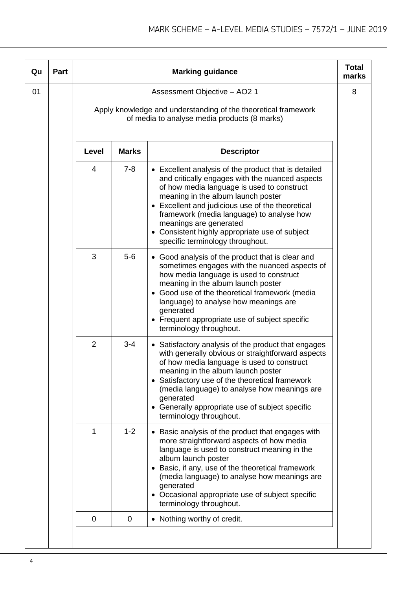| Qu | Part |                |              | <b>Marking guidance</b>                                                                                                                                                                                                                                                                                                                                                                                                 | <b>Total</b><br>marks |
|----|------|----------------|--------------|-------------------------------------------------------------------------------------------------------------------------------------------------------------------------------------------------------------------------------------------------------------------------------------------------------------------------------------------------------------------------------------------------------------------------|-----------------------|
| 01 |      |                |              | Assessment Objective - AO2 1<br>Apply knowledge and understanding of the theoretical framework<br>of media to analyse media products (8 marks)                                                                                                                                                                                                                                                                          | 8                     |
|    |      | Level          | <b>Marks</b> | <b>Descriptor</b>                                                                                                                                                                                                                                                                                                                                                                                                       |                       |
|    |      | $\overline{4}$ | $7 - 8$      | • Excellent analysis of the product that is detailed<br>and critically engages with the nuanced aspects<br>of how media language is used to construct<br>meaning in the album launch poster<br>Excellent and judicious use of the theoretical<br>$\bullet$<br>framework (media language) to analyse how<br>meanings are generated<br>• Consistent highly appropriate use of subject<br>specific terminology throughout. |                       |
|    |      | 3              | $5-6$        | • Good analysis of the product that is clear and<br>sometimes engages with the nuanced aspects of<br>how media language is used to construct<br>meaning in the album launch poster<br>• Good use of the theoretical framework (media<br>language) to analyse how meanings are<br>generated<br>• Frequent appropriate use of subject specific<br>terminology throughout.                                                 |                       |
|    |      | $\overline{2}$ | $3 - 4$      | Satisfactory analysis of the product that engages<br>$\bullet$<br>with generally obvious or straightforward aspects<br>of how media language is used to construct<br>meaning in the album launch poster<br>• Satisfactory use of the theoretical framework<br>(media language) to analyse how meanings are<br>generated<br>• Generally appropriate use of subject specific<br>terminology throughout.                   |                       |
|    |      | 1              | $1 - 2$      | • Basic analysis of the product that engages with<br>more straightforward aspects of how media<br>language is used to construct meaning in the<br>album launch poster<br>Basic, if any, use of the theoretical framework<br>٠<br>(media language) to analyse how meanings are<br>generated<br>Occasional appropriate use of subject specific<br>٠<br>terminology throughout.                                            |                       |
|    |      | $\mathbf 0$    | $\mathbf 0$  | Nothing worthy of credit.<br>$\bullet$                                                                                                                                                                                                                                                                                                                                                                                  |                       |
|    |      |                |              |                                                                                                                                                                                                                                                                                                                                                                                                                         |                       |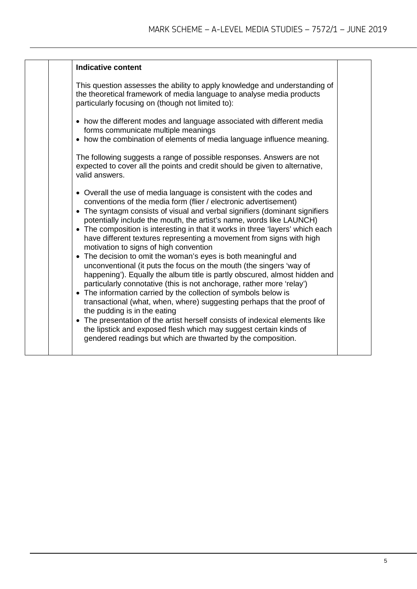| <b>Indicative content</b><br>This question assesses the ability to apply knowledge and understanding of                                                                                                                                                                                                                                                                                                                                                                                                                                                                                                                                                                                                                                                                                                                                                                                                                                                                                                                                                                                                                                                                                               |  |
|-------------------------------------------------------------------------------------------------------------------------------------------------------------------------------------------------------------------------------------------------------------------------------------------------------------------------------------------------------------------------------------------------------------------------------------------------------------------------------------------------------------------------------------------------------------------------------------------------------------------------------------------------------------------------------------------------------------------------------------------------------------------------------------------------------------------------------------------------------------------------------------------------------------------------------------------------------------------------------------------------------------------------------------------------------------------------------------------------------------------------------------------------------------------------------------------------------|--|
|                                                                                                                                                                                                                                                                                                                                                                                                                                                                                                                                                                                                                                                                                                                                                                                                                                                                                                                                                                                                                                                                                                                                                                                                       |  |
| the theoretical framework of media language to analyse media products<br>particularly focusing on (though not limited to):                                                                                                                                                                                                                                                                                                                                                                                                                                                                                                                                                                                                                                                                                                                                                                                                                                                                                                                                                                                                                                                                            |  |
| • how the different modes and language associated with different media<br>forms communicate multiple meanings<br>• how the combination of elements of media language influence meaning.                                                                                                                                                                                                                                                                                                                                                                                                                                                                                                                                                                                                                                                                                                                                                                                                                                                                                                                                                                                                               |  |
| The following suggests a range of possible responses. Answers are not<br>expected to cover all the points and credit should be given to alternative,<br>valid answers.                                                                                                                                                                                                                                                                                                                                                                                                                                                                                                                                                                                                                                                                                                                                                                                                                                                                                                                                                                                                                                |  |
| • Overall the use of media language is consistent with the codes and<br>conventions of the media form (flier / electronic advertisement)<br>• The syntagm consists of visual and verbal signifiers (dominant signifiers<br>potentially include the mouth, the artist's name, words like LAUNCH)<br>• The composition is interesting in that it works in three 'layers' which each<br>have different textures representing a movement from signs with high<br>motivation to signs of high convention<br>• The decision to omit the woman's eyes is both meaningful and<br>unconventional (it puts the focus on the mouth (the singers 'way of<br>happening'). Equally the album title is partly obscured, almost hidden and<br>particularly connotative (this is not anchorage, rather more 'relay')<br>• The information carried by the collection of symbols below is<br>transactional (what, when, where) suggesting perhaps that the proof of<br>the pudding is in the eating<br>• The presentation of the artist herself consists of indexical elements like<br>the lipstick and exposed flesh which may suggest certain kinds of<br>gendered readings but which are thwarted by the composition. |  |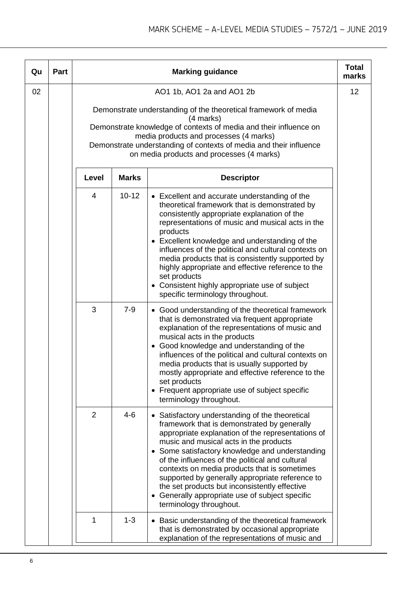| Qu | Part |                |              | <b>Marking guidance</b>                                                                                                                                                                                                                                                                                                                                                                                                                                                                                                                                   | <b>Total</b><br>marks |
|----|------|----------------|--------------|-----------------------------------------------------------------------------------------------------------------------------------------------------------------------------------------------------------------------------------------------------------------------------------------------------------------------------------------------------------------------------------------------------------------------------------------------------------------------------------------------------------------------------------------------------------|-----------------------|
| 02 |      |                |              | AO1 1b, AO1 2a and AO1 2b<br>Demonstrate understanding of the theoretical framework of media<br>(4 marks)<br>Demonstrate knowledge of contexts of media and their influence on<br>media products and processes (4 marks)<br>Demonstrate understanding of contexts of media and their influence<br>on media products and processes (4 marks)                                                                                                                                                                                                               | 12                    |
|    |      | Level          | <b>Marks</b> | <b>Descriptor</b>                                                                                                                                                                                                                                                                                                                                                                                                                                                                                                                                         |                       |
|    |      | 4              | $10 - 12$    | • Excellent and accurate understanding of the<br>theoretical framework that is demonstrated by<br>consistently appropriate explanation of the<br>representations of music and musical acts in the<br>products<br>Excellent knowledge and understanding of the<br>influences of the political and cultural contexts on<br>media products that is consistently supported by<br>highly appropriate and effective reference to the<br>set products<br>• Consistent highly appropriate use of subject<br>specific terminology throughout.                      |                       |
|    |      | 3              | $7 - 9$      | • Good understanding of the theoretical framework<br>that is demonstrated via frequent appropriate<br>explanation of the representations of music and<br>musical acts in the products<br>Good knowledge and understanding of the<br>influences of the political and cultural contexts on<br>media products that is usually supported by<br>mostly appropriate and effective reference to the<br>set products<br>• Frequent appropriate use of subject specific<br>terminology throughout.                                                                 |                       |
|    |      | $\overline{2}$ | $4 - 6$      | Satisfactory understanding of the theoretical<br>$\bullet$<br>framework that is demonstrated by generally<br>appropriate explanation of the representations of<br>music and musical acts in the products<br>Some satisfactory knowledge and understanding<br>$\bullet$<br>of the influences of the political and cultural<br>contexts on media products that is sometimes<br>supported by generally appropriate reference to<br>the set products but inconsistently effective<br>Generally appropriate use of subject specific<br>terminology throughout. |                       |
|    |      | 1              | $1 - 3$      | Basic understanding of the theoretical framework<br>that is demonstrated by occasional appropriate<br>explanation of the representations of music and                                                                                                                                                                                                                                                                                                                                                                                                     |                       |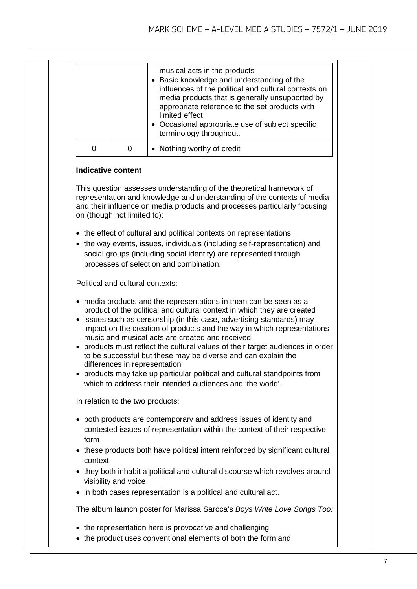|  |                                  |                                  | musical acts in the products<br>• Basic knowledge and understanding of the<br>influences of the political and cultural contexts on<br>media products that is generally unsupported by<br>appropriate reference to the set products with<br>limited effect<br>• Occasional appropriate use of subject specific<br>terminology throughout.                                                                                                                                                                                                                                                                                                          |  |
|--|----------------------------------|----------------------------------|---------------------------------------------------------------------------------------------------------------------------------------------------------------------------------------------------------------------------------------------------------------------------------------------------------------------------------------------------------------------------------------------------------------------------------------------------------------------------------------------------------------------------------------------------------------------------------------------------------------------------------------------------|--|
|  | $\overline{0}$                   | 0                                | • Nothing worthy of credit                                                                                                                                                                                                                                                                                                                                                                                                                                                                                                                                                                                                                        |  |
|  | <b>Indicative content</b>        |                                  |                                                                                                                                                                                                                                                                                                                                                                                                                                                                                                                                                                                                                                                   |  |
|  |                                  | on (though not limited to):      | This question assesses understanding of the theoretical framework of<br>representation and knowledge and understanding of the contexts of media<br>and their influence on media products and processes particularly focusing                                                                                                                                                                                                                                                                                                                                                                                                                      |  |
|  |                                  |                                  | • the effect of cultural and political contexts on representations<br>• the way events, issues, individuals (including self-representation) and<br>social groups (including social identity) are represented through<br>processes of selection and combination.                                                                                                                                                                                                                                                                                                                                                                                   |  |
|  |                                  | Political and cultural contexts: |                                                                                                                                                                                                                                                                                                                                                                                                                                                                                                                                                                                                                                                   |  |
|  |                                  | differences in representation    | • media products and the representations in them can be seen as a<br>product of the political and cultural context in which they are created<br>• issues such as censorship (in this case, advertising standards) may<br>impact on the creation of products and the way in which representations<br>music and musical acts are created and received<br>• products must reflect the cultural values of their target audiences in order<br>to be successful but these may be diverse and can explain the<br>• products may take up particular political and cultural standpoints from<br>which to address their intended audiences and 'the world'. |  |
|  | In relation to the two products: |                                  |                                                                                                                                                                                                                                                                                                                                                                                                                                                                                                                                                                                                                                                   |  |
|  | form                             |                                  | • both products are contemporary and address issues of identity and<br>contested issues of representation within the context of their respective                                                                                                                                                                                                                                                                                                                                                                                                                                                                                                  |  |
|  | context                          |                                  | • these products both have political intent reinforced by significant cultural                                                                                                                                                                                                                                                                                                                                                                                                                                                                                                                                                                    |  |
|  |                                  | visibility and voice             | • they both inhabit a political and cultural discourse which revolves around<br>• in both cases representation is a political and cultural act.                                                                                                                                                                                                                                                                                                                                                                                                                                                                                                   |  |
|  |                                  |                                  | The album launch poster for Marissa Saroca's Boys Write Love Songs Too:                                                                                                                                                                                                                                                                                                                                                                                                                                                                                                                                                                           |  |
|  |                                  |                                  | • the representation here is provocative and challenging<br>• the product uses conventional elements of both the form and                                                                                                                                                                                                                                                                                                                                                                                                                                                                                                                         |  |
|  |                                  |                                  |                                                                                                                                                                                                                                                                                                                                                                                                                                                                                                                                                                                                                                                   |  |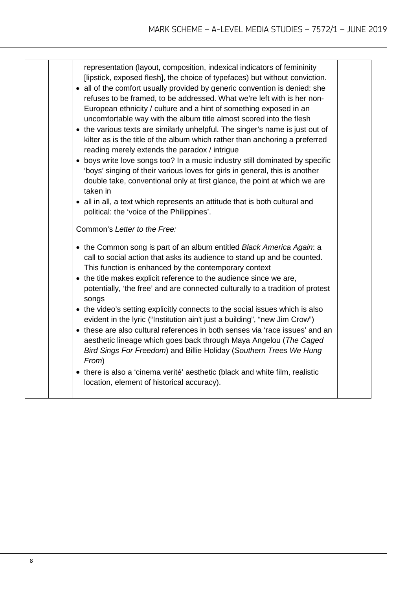| representation (layout, composition, indexical indicators of femininity<br>[lipstick, exposed flesh], the choice of typefaces) but without conviction.<br>• all of the comfort usually provided by generic convention is denied: she<br>refuses to be framed, to be addressed. What we're left with is her non-<br>European ethnicity / culture and a hint of something exposed in an<br>uncomfortable way with the album title almost scored into the flesh<br>• the various texts are similarly unhelpful. The singer's name is just out of<br>kilter as is the title of the album which rather than anchoring a preferred<br>reading merely extends the paradox / intrigue<br>• boys write love songs too? In a music industry still dominated by specific<br>'boys' singing of their various loves for girls in general, this is another<br>double take, conventional only at first glance, the point at which we are<br>taken in<br>• all in all, a text which represents an attitude that is both cultural and<br>political: the 'voice of the Philippines'.<br>Common's Letter to the Free: |  |
|----------------------------------------------------------------------------------------------------------------------------------------------------------------------------------------------------------------------------------------------------------------------------------------------------------------------------------------------------------------------------------------------------------------------------------------------------------------------------------------------------------------------------------------------------------------------------------------------------------------------------------------------------------------------------------------------------------------------------------------------------------------------------------------------------------------------------------------------------------------------------------------------------------------------------------------------------------------------------------------------------------------------------------------------------------------------------------------------------|--|
| • the Common song is part of an album entitled Black America Again: a<br>call to social action that asks its audience to stand up and be counted.<br>This function is enhanced by the contemporary context<br>• the title makes explicit reference to the audience since we are,<br>potentially, 'the free' and are connected culturally to a tradition of protest<br>songs<br>• the video's setting explicitly connects to the social issues which is also<br>evident in the lyric ("Institution ain't just a building", "new Jim Crow")<br>• these are also cultural references in both senses via 'race issues' and an<br>aesthetic lineage which goes back through Maya Angelou (The Caged<br>Bird Sings For Freedom) and Billie Holiday (Southern Trees We Hung<br>From)<br>• there is also a 'cinema verité' aesthetic (black and white film, realistic<br>location, element of historical accuracy).                                                                                                                                                                                        |  |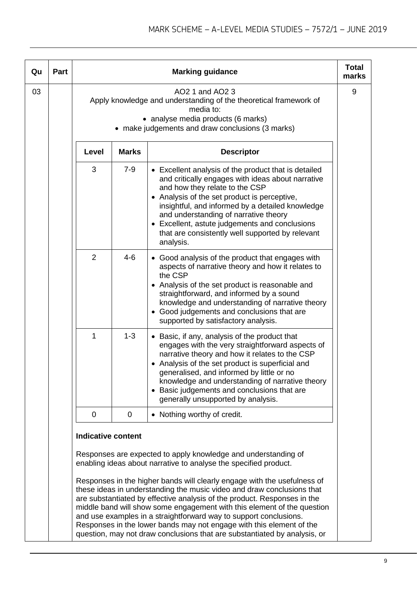| Qu | Part |                           |              | <b>Marking guidance</b>                                                                                                                                                                                                                                                                                                                                                                                                                                                                                                             | <b>Total</b><br>marks |
|----|------|---------------------------|--------------|-------------------------------------------------------------------------------------------------------------------------------------------------------------------------------------------------------------------------------------------------------------------------------------------------------------------------------------------------------------------------------------------------------------------------------------------------------------------------------------------------------------------------------------|-----------------------|
| 03 |      |                           |              | AO2 1 and AO2 3<br>Apply knowledge and understanding of the theoretical framework of<br>media to:<br>• analyse media products (6 marks)<br>• make judgements and draw conclusions (3 marks)                                                                                                                                                                                                                                                                                                                                         | 9                     |
|    |      | Level                     | <b>Marks</b> | <b>Descriptor</b>                                                                                                                                                                                                                                                                                                                                                                                                                                                                                                                   |                       |
|    |      | 3                         | $7 - 9$      | • Excellent analysis of the product that is detailed<br>and critically engages with ideas about narrative<br>and how they relate to the CSP<br>• Analysis of the set product is perceptive,<br>insightful, and informed by a detailed knowledge<br>and understanding of narrative theory<br>• Excellent, astute judgements and conclusions<br>that are consistently well supported by relevant<br>analysis.                                                                                                                         |                       |
|    |      | $\overline{2}$            | $4 - 6$      | • Good analysis of the product that engages with<br>aspects of narrative theory and how it relates to<br>the CSP<br>• Analysis of the set product is reasonable and<br>straightforward, and informed by a sound<br>knowledge and understanding of narrative theory<br>• Good judgements and conclusions that are<br>supported by satisfactory analysis.                                                                                                                                                                             |                       |
|    |      | 1                         | $1 - 3$      | • Basic, if any, analysis of the product that<br>engages with the very straightforward aspects of<br>narrative theory and how it relates to the CSP<br>• Analysis of the set product is superficial and<br>generalised, and informed by little or no<br>knowledge and understanding of narrative theory<br>• Basic judgements and conclusions that are<br>generally unsupported by analysis.                                                                                                                                        |                       |
|    |      | 0                         | 0            | • Nothing worthy of credit.                                                                                                                                                                                                                                                                                                                                                                                                                                                                                                         |                       |
|    |      | <b>Indicative content</b> |              | Responses are expected to apply knowledge and understanding of<br>enabling ideas about narrative to analyse the specified product.                                                                                                                                                                                                                                                                                                                                                                                                  |                       |
|    |      |                           |              | Responses in the higher bands will clearly engage with the usefulness of<br>these ideas in understanding the music video and draw conclusions that<br>are substantiated by effective analysis of the product. Responses in the<br>middle band will show some engagement with this element of the question<br>and use examples in a straightforward way to support conclusions.<br>Responses in the lower bands may not engage with this element of the<br>question, may not draw conclusions that are substantiated by analysis, or |                       |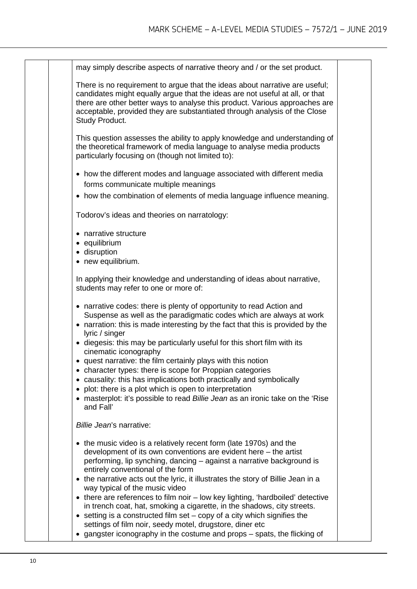| may simply describe aspects of narrative theory and / or the set product.                                                                                                                                                                                                                                                                                                                                                                                                                                                                                                                                                                                                                                                                                           |  |
|---------------------------------------------------------------------------------------------------------------------------------------------------------------------------------------------------------------------------------------------------------------------------------------------------------------------------------------------------------------------------------------------------------------------------------------------------------------------------------------------------------------------------------------------------------------------------------------------------------------------------------------------------------------------------------------------------------------------------------------------------------------------|--|
| There is no requirement to argue that the ideas about narrative are useful;<br>candidates might equally argue that the ideas are not useful at all, or that<br>there are other better ways to analyse this product. Various approaches are<br>acceptable, provided they are substantiated through analysis of the Close<br>Study Product.                                                                                                                                                                                                                                                                                                                                                                                                                           |  |
| This question assesses the ability to apply knowledge and understanding of<br>the theoretical framework of media language to analyse media products<br>particularly focusing on (though not limited to):                                                                                                                                                                                                                                                                                                                                                                                                                                                                                                                                                            |  |
| • how the different modes and language associated with different media<br>forms communicate multiple meanings                                                                                                                                                                                                                                                                                                                                                                                                                                                                                                                                                                                                                                                       |  |
| • how the combination of elements of media language influence meaning.                                                                                                                                                                                                                                                                                                                                                                                                                                                                                                                                                                                                                                                                                              |  |
| Todorov's ideas and theories on narratology:                                                                                                                                                                                                                                                                                                                                                                                                                                                                                                                                                                                                                                                                                                                        |  |
| • narrative structure<br>• equilibrium<br>· disruption<br>• new equilibrium.                                                                                                                                                                                                                                                                                                                                                                                                                                                                                                                                                                                                                                                                                        |  |
| In applying their knowledge and understanding of ideas about narrative,<br>students may refer to one or more of:                                                                                                                                                                                                                                                                                                                                                                                                                                                                                                                                                                                                                                                    |  |
| • narrative codes: there is plenty of opportunity to read Action and<br>Suspense as well as the paradigmatic codes which are always at work<br>• narration: this is made interesting by the fact that this is provided by the<br>lyric / singer<br>• diegesis: this may be particularly useful for this short film with its<br>cinematic iconography<br>• quest narrative: the film certainly plays with this notion<br>character types: there is scope for Proppian categories<br>causality: this has implications both practically and symbolically<br>٠<br>plot: there is a plot which is open to interpretation<br>٠<br>masterplot: it's possible to read Billie Jean as an ironic take on the 'Rise<br>and Fall'                                               |  |
| Billie Jean's narrative:                                                                                                                                                                                                                                                                                                                                                                                                                                                                                                                                                                                                                                                                                                                                            |  |
| • the music video is a relatively recent form (late 1970s) and the<br>development of its own conventions are evident here $-$ the artist<br>performing, lip synching, dancing – against a narrative background is<br>entirely conventional of the form<br>• the narrative acts out the lyric, it illustrates the story of Billie Jean in a<br>way typical of the music video<br>• there are references to film noir – low key lighting, 'hardboiled' detective<br>in trench coat, hat, smoking a cigarette, in the shadows, city streets.<br>$\bullet$ setting is a constructed film set – copy of a city which signifies the<br>settings of film noir, seedy motel, drugstore, diner etc<br>gangster iconography in the costume and props – spats, the flicking of |  |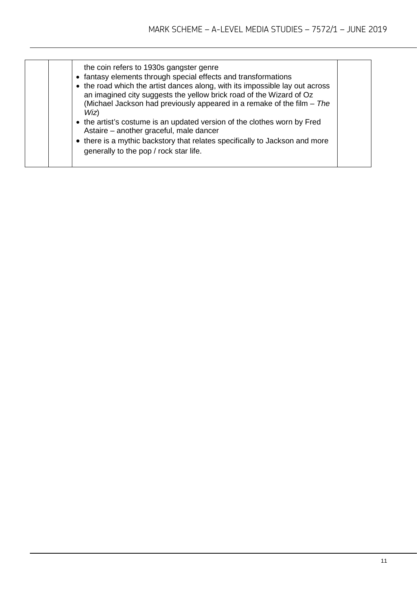| the coin refers to 1930s gangster genre<br>• fantasy elements through special effects and transformations<br>• the road which the artist dances along, with its impossible lay out across<br>an imagined city suggests the yellow brick road of the Wizard of Oz<br>(Michael Jackson had previously appeared in a remake of the film - The<br>Wiz)<br>• the artist's costume is an updated version of the clothes worn by Fred<br>Astaire - another graceful, male dancer<br>• there is a mythic backstory that relates specifically to Jackson and more<br>generally to the pop / rock star life. |  |
|----------------------------------------------------------------------------------------------------------------------------------------------------------------------------------------------------------------------------------------------------------------------------------------------------------------------------------------------------------------------------------------------------------------------------------------------------------------------------------------------------------------------------------------------------------------------------------------------------|--|
|----------------------------------------------------------------------------------------------------------------------------------------------------------------------------------------------------------------------------------------------------------------------------------------------------------------------------------------------------------------------------------------------------------------------------------------------------------------------------------------------------------------------------------------------------------------------------------------------------|--|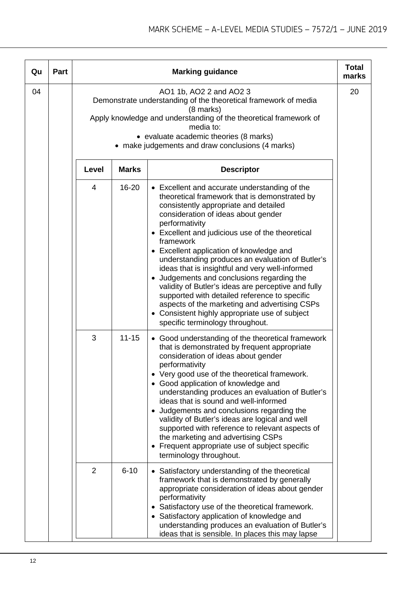| Qu | Part |                |              | <b>Marking guidance</b>                                                                                                                                                                                                                                                                                                                                                                                                                                                                                                                                                                                                                                                                                           | <b>Total</b><br>marks |
|----|------|----------------|--------------|-------------------------------------------------------------------------------------------------------------------------------------------------------------------------------------------------------------------------------------------------------------------------------------------------------------------------------------------------------------------------------------------------------------------------------------------------------------------------------------------------------------------------------------------------------------------------------------------------------------------------------------------------------------------------------------------------------------------|-----------------------|
| 04 |      |                |              | AO1 1b, AO2 2 and AO2 3<br>Demonstrate understanding of the theoretical framework of media<br>(8 marks)<br>Apply knowledge and understanding of the theoretical framework of<br>media to:<br>• evaluate academic theories (8 marks)<br>• make judgements and draw conclusions (4 marks)                                                                                                                                                                                                                                                                                                                                                                                                                           | 20                    |
|    |      | Level          | <b>Marks</b> | <b>Descriptor</b>                                                                                                                                                                                                                                                                                                                                                                                                                                                                                                                                                                                                                                                                                                 |                       |
|    |      | 4              | 16-20        | • Excellent and accurate understanding of the<br>theoretical framework that is demonstrated by<br>consistently appropriate and detailed<br>consideration of ideas about gender<br>performativity<br>• Excellent and judicious use of the theoretical<br>framework<br>• Excellent application of knowledge and<br>understanding produces an evaluation of Butler's<br>ideas that is insightful and very well-informed<br>• Judgements and conclusions regarding the<br>validity of Butler's ideas are perceptive and fully<br>supported with detailed reference to specific<br>aspects of the marketing and advertising CSPs<br>• Consistent highly appropriate use of subject<br>specific terminology throughout. |                       |
|    |      | 3              | $11 - 15$    | • Good understanding of the theoretical framework<br>that is demonstrated by frequent appropriate<br>consideration of ideas about gender<br>performativity<br>• Very good use of the theoretical framework.<br>• Good application of knowledge and<br>understanding produces an evaluation of Butler's<br>ideas that is sound and well-informed<br>• Judgements and conclusions regarding the<br>validity of Butler's ideas are logical and well<br>supported with reference to relevant aspects of<br>the marketing and advertising CSPs<br>• Frequent appropriate use of subject specific<br>terminology throughout.                                                                                            |                       |
|    |      | $\overline{2}$ | $6 - 10$     | • Satisfactory understanding of the theoretical<br>framework that is demonstrated by generally<br>appropriate consideration of ideas about gender<br>performativity<br>• Satisfactory use of the theoretical framework.<br>• Satisfactory application of knowledge and<br>understanding produces an evaluation of Butler's<br>ideas that is sensible. In places this may lapse                                                                                                                                                                                                                                                                                                                                    |                       |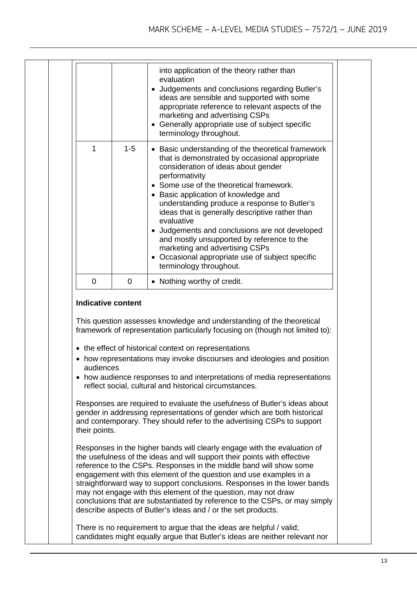|   |         | into application of the theory rather than<br>evaluation<br>• Judgements and conclusions regarding Butler's<br>ideas are sensible and supported with some<br>appropriate reference to relevant aspects of the<br>marketing and advertising CSPs<br>• Generally appropriate use of subject specific<br>terminology throughout.                                                                                                                                                                                                                                                       |
|---|---------|-------------------------------------------------------------------------------------------------------------------------------------------------------------------------------------------------------------------------------------------------------------------------------------------------------------------------------------------------------------------------------------------------------------------------------------------------------------------------------------------------------------------------------------------------------------------------------------|
| 1 | $1 - 5$ | • Basic understanding of the theoretical framework<br>that is demonstrated by occasional appropriate<br>consideration of ideas about gender<br>performativity<br>• Some use of the theoretical framework.<br>• Basic application of knowledge and<br>understanding produce a response to Butler's<br>ideas that is generally descriptive rather than<br>evaluative<br>• Judgements and conclusions are not developed<br>and mostly unsupported by reference to the<br>marketing and advertising CSPs<br>• Occasional appropriate use of subject specific<br>terminology throughout. |
| 0 | 0       | • Nothing worthy of credit.                                                                                                                                                                                                                                                                                                                                                                                                                                                                                                                                                         |

### **Indicative content**

This question assesses knowledge and understanding of the theoretical framework of representation particularly focusing on (though not limited to):

- the effect of historical context on representations
- how representations may invoke discourses and ideologies and position audiences
- how audience responses to and interpretations of media representations reflect social, cultural and historical circumstances.

Responses are required to evaluate the usefulness of Butler's ideas about gender in addressing representations of gender which are both historical and contemporary. They should refer to the advertising CSPs to support their points.

Responses in the higher bands will clearly engage with the evaluation of the usefulness of the ideas and will support their points with effective reference to the CSPs. Responses in the middle band will show some engagement with this element of the question and use examples in a straightforward way to support conclusions. Responses in the lower bands may not engage with this element of the question, may not draw conclusions that are substantiated by reference to the CSPs, or may simply describe aspects of Butler's ideas and / or the set products.

There is no requirement to argue that the ideas are helpful / valid; candidates might equally argue that Butler's ideas are neither relevant nor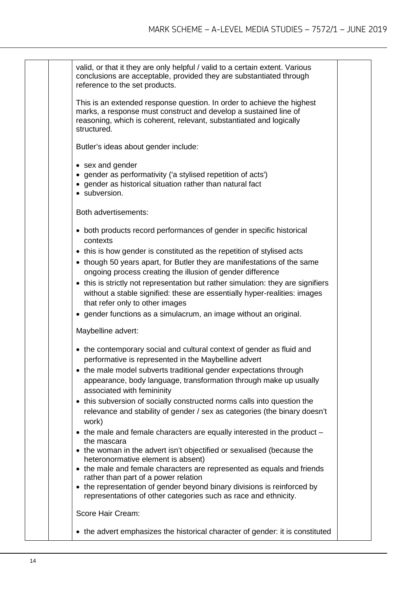| valid, or that it they are only helpful / valid to a certain extent. Various<br>conclusions are acceptable, provided they are substantiated through<br>reference to the set products.                                                                                                                                                                                                                               |
|---------------------------------------------------------------------------------------------------------------------------------------------------------------------------------------------------------------------------------------------------------------------------------------------------------------------------------------------------------------------------------------------------------------------|
| This is an extended response question. In order to achieve the highest<br>marks, a response must construct and develop a sustained line of<br>reasoning, which is coherent, relevant, substantiated and logically<br>structured.                                                                                                                                                                                    |
| Butler's ideas about gender include:                                                                                                                                                                                                                                                                                                                                                                                |
| • sex and gender<br>• gender as performativity ('a stylised repetition of acts')<br>• gender as historical situation rather than natural fact<br>• subversion.                                                                                                                                                                                                                                                      |
| Both advertisements:                                                                                                                                                                                                                                                                                                                                                                                                |
| • both products record performances of gender in specific historical<br>contexts                                                                                                                                                                                                                                                                                                                                    |
| • this is how gender is constituted as the repetition of stylised acts<br>• though 50 years apart, for Butler they are manifestations of the same<br>ongoing process creating the illusion of gender difference<br>• this is strictly not representation but rather simulation: they are signifiers<br>without a stable signified: these are essentially hyper-realities: images<br>that refer only to other images |
| • gender functions as a simulacrum, an image without an original.                                                                                                                                                                                                                                                                                                                                                   |
| Maybelline advert:                                                                                                                                                                                                                                                                                                                                                                                                  |
| • the contemporary social and cultural context of gender as fluid and<br>performative is represented in the Maybelline advert<br>• the male model subverts traditional gender expectations through                                                                                                                                                                                                                  |
| appearance, body language, transformation through make up usually<br>associated with femininity                                                                                                                                                                                                                                                                                                                     |
| • this subversion of socially constructed norms calls into question the<br>relevance and stability of gender / sex as categories (the binary doesn't<br>work)                                                                                                                                                                                                                                                       |
| $\bullet$ the male and female characters are equally interested in the product $-$<br>the mascara<br>• the woman in the advert isn't objectified or sexualised (because the                                                                                                                                                                                                                                         |
| heteronormative element is absent)<br>• the male and female characters are represented as equals and friends<br>rather than part of a power relation<br>• the representation of gender beyond binary divisions is reinforced by                                                                                                                                                                                     |
| representations of other categories such as race and ethnicity.                                                                                                                                                                                                                                                                                                                                                     |
| Score Hair Cream:                                                                                                                                                                                                                                                                                                                                                                                                   |
| • the advert emphasizes the historical character of gender: it is constituted                                                                                                                                                                                                                                                                                                                                       |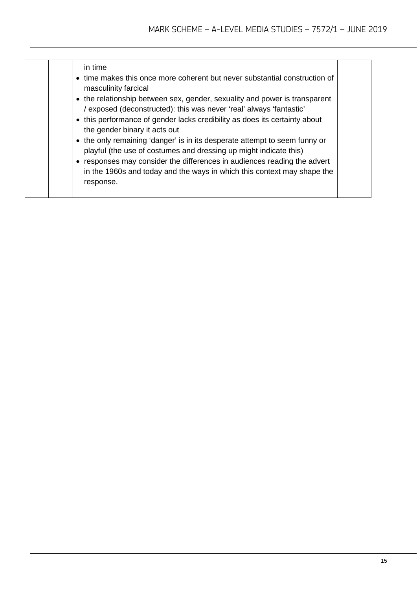| in time<br>• time makes this once more coherent but never substantial construction of<br>masculinity farcical<br>• the relationship between sex, gender, sexuality and power is transparent<br>/ exposed (deconstructed): this was never 'real' always 'fantastic'<br>• this performance of gender lacks credibility as does its certainty about<br>the gender binary it acts out |
|-----------------------------------------------------------------------------------------------------------------------------------------------------------------------------------------------------------------------------------------------------------------------------------------------------------------------------------------------------------------------------------|
| • the only remaining 'danger' is in its desperate attempt to seem funny or<br>playful (the use of costumes and dressing up might indicate this)<br>• responses may consider the differences in audiences reading the advert<br>in the 1960s and today and the ways in which this context may shape the<br>response.                                                               |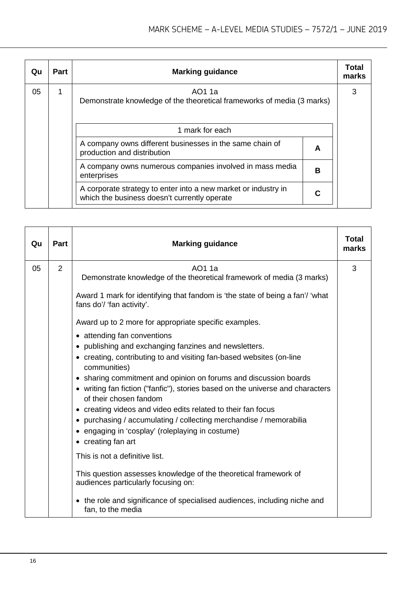| Qu | <b>Part</b> | <b>Marking guidance</b>                                                                                        |   | Total<br>marks |
|----|-------------|----------------------------------------------------------------------------------------------------------------|---|----------------|
| 05 | 1           | AO1 1a<br>Demonstrate knowledge of the theoretical frameworks of media (3 marks)                               |   | 3              |
|    |             | 1 mark for each                                                                                                |   |                |
|    |             | A company owns different businesses in the same chain of<br>production and distribution                        | A |                |
|    |             | A company owns numerous companies involved in mass media<br>enterprises                                        | в |                |
|    |             | A corporate strategy to enter into a new market or industry in<br>which the business doesn't currently operate |   |                |

| Part           | <b>Marking guidance</b>                                                                                                                                                                                                                                                                                                                                                                                                                                                                                                                                                                                                                                                                                                                                                                                                                                                  | Total<br>marks                                                   |
|----------------|--------------------------------------------------------------------------------------------------------------------------------------------------------------------------------------------------------------------------------------------------------------------------------------------------------------------------------------------------------------------------------------------------------------------------------------------------------------------------------------------------------------------------------------------------------------------------------------------------------------------------------------------------------------------------------------------------------------------------------------------------------------------------------------------------------------------------------------------------------------------------|------------------------------------------------------------------|
| $\overline{2}$ | AO1 1a<br>Demonstrate knowledge of the theoretical framework of media (3 marks)<br>Award 1 mark for identifying that fandom is 'the state of being a fan'/ 'what<br>fans do'/ 'fan activity'.<br>Award up to 2 more for appropriate specific examples.<br>• attending fan conventions<br>• publishing and exchanging fanzines and newsletters.<br>• creating, contributing to and visiting fan-based websites (on-line<br>communities)<br>• sharing commitment and opinion on forums and discussion boards<br>• writing fan fiction ("fanfic"), stories based on the universe and characters<br>of their chosen fandom<br>• creating videos and video edits related to their fan focus<br>• purchasing / accumulating / collecting merchandise / memorabilia<br>• engaging in 'cosplay' (roleplaying in costume)<br>• creating fan art<br>This is not a definitive list. | 3                                                                |
|                | audiences particularly focusing on:<br>• the role and significance of specialised audiences, including niche and<br>fan, to the media                                                                                                                                                                                                                                                                                                                                                                                                                                                                                                                                                                                                                                                                                                                                    |                                                                  |
|                |                                                                                                                                                                                                                                                                                                                                                                                                                                                                                                                                                                                                                                                                                                                                                                                                                                                                          | This question assesses knowledge of the theoretical framework of |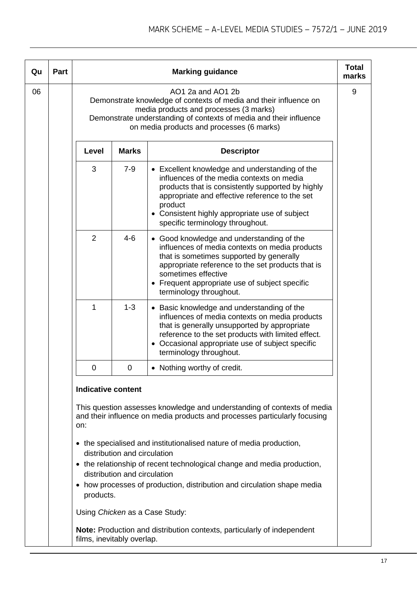| Qu | Part |                                                                                                                                                                                                                                                     |                                                              | <b>Marking guidance</b>                                                                                                                                                                                                                                                                             | <b>Total</b><br>marks |
|----|------|-----------------------------------------------------------------------------------------------------------------------------------------------------------------------------------------------------------------------------------------------------|--------------------------------------------------------------|-----------------------------------------------------------------------------------------------------------------------------------------------------------------------------------------------------------------------------------------------------------------------------------------------------|-----------------------|
| 06 |      | AO1 2a and AO1 2b<br>Demonstrate knowledge of contexts of media and their influence on<br>media products and processes (3 marks)<br>Demonstrate understanding of contexts of media and their influence<br>on media products and processes (6 marks) |                                                              |                                                                                                                                                                                                                                                                                                     | 9                     |
|    |      | Level                                                                                                                                                                                                                                               | <b>Marks</b>                                                 | <b>Descriptor</b>                                                                                                                                                                                                                                                                                   |                       |
|    |      | 3                                                                                                                                                                                                                                                   | $7 - 9$                                                      | • Excellent knowledge and understanding of the<br>influences of the media contexts on media<br>products that is consistently supported by highly<br>appropriate and effective reference to the set<br>product<br>• Consistent highly appropriate use of subject<br>specific terminology throughout. |                       |
|    |      | 2                                                                                                                                                                                                                                                   | $4 - 6$                                                      | • Good knowledge and understanding of the<br>influences of media contexts on media products<br>that is sometimes supported by generally<br>appropriate reference to the set products that is<br>sometimes effective<br>• Frequent appropriate use of subject specific<br>terminology throughout.    |                       |
|    |      | 1                                                                                                                                                                                                                                                   | $1 - 3$                                                      | • Basic knowledge and understanding of the<br>influences of media contexts on media products<br>that is generally unsupported by appropriate<br>reference to the set products with limited effect.<br>• Occasional appropriate use of subject specific<br>terminology throughout.                   |                       |
|    |      | 0                                                                                                                                                                                                                                                   | 0                                                            | • Nothing worthy of credit.                                                                                                                                                                                                                                                                         |                       |
|    |      | <b>Indicative content</b>                                                                                                                                                                                                                           |                                                              |                                                                                                                                                                                                                                                                                                     |                       |
|    |      | This question assesses knowledge and understanding of contexts of media<br>and their influence on media products and processes particularly focusing                                                                                                |                                                              |                                                                                                                                                                                                                                                                                                     |                       |
|    |      | products.                                                                                                                                                                                                                                           | distribution and circulation<br>distribution and circulation | • the specialised and institutionalised nature of media production,<br>• the relationship of recent technological change and media production,<br>• how processes of production, distribution and circulation shape media                                                                           |                       |
|    |      |                                                                                                                                                                                                                                                     |                                                              | Using Chicken as a Case Study:                                                                                                                                                                                                                                                                      |                       |
|    |      |                                                                                                                                                                                                                                                     |                                                              | Note: Production and distribution contexts, particularly of independent                                                                                                                                                                                                                             |                       |

films, inevitably overlap.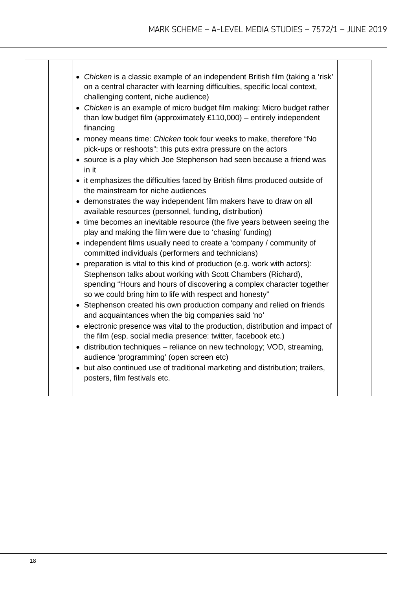|           | • Chicken is a classic example of an independent British film (taking a 'risk'                                                                                                                                                                                                                                                                                                                                   |
|-----------|------------------------------------------------------------------------------------------------------------------------------------------------------------------------------------------------------------------------------------------------------------------------------------------------------------------------------------------------------------------------------------------------------------------|
| financing | on a central character with learning difficulties, specific local context,<br>challenging content, niche audience)<br>• Chicken is an example of micro budget film making: Micro budget rather<br>than low budget film (approximately $£110,000$ ) – entirely independent<br>• money means time: Chicken took four weeks to make, therefore "No<br>pick-ups or reshoots": this puts extra pressure on the actors |
| in it     | • source is a play which Joe Stephenson had seen because a friend was                                                                                                                                                                                                                                                                                                                                            |
|           | • it emphasizes the difficulties faced by British films produced outside of<br>the mainstream for niche audiences                                                                                                                                                                                                                                                                                                |
|           | • demonstrates the way independent film makers have to draw on all<br>available resources (personnel, funding, distribution)                                                                                                                                                                                                                                                                                     |
|           | • time becomes an inevitable resource (the five years between seeing the<br>play and making the film were due to 'chasing' funding)                                                                                                                                                                                                                                                                              |
|           | • independent films usually need to create a 'company / community of<br>committed individuals (performers and technicians)                                                                                                                                                                                                                                                                                       |
|           | • preparation is vital to this kind of production (e.g. work with actors):<br>Stephenson talks about working with Scott Chambers (Richard),<br>spending "Hours and hours of discovering a complex character together                                                                                                                                                                                             |
|           | so we could bring him to life with respect and honesty"<br>• Stephenson created his own production company and relied on friends<br>and acquaintances when the big companies said 'no'                                                                                                                                                                                                                           |
|           | • electronic presence was vital to the production, distribution and impact of<br>the film (esp. social media presence: twitter, facebook etc.)                                                                                                                                                                                                                                                                   |
|           | • distribution techniques – reliance on new technology; VOD, streaming,<br>audience 'programming' (open screen etc)                                                                                                                                                                                                                                                                                              |
|           | • but also continued use of traditional marketing and distribution; trailers,<br>posters, film festivals etc.                                                                                                                                                                                                                                                                                                    |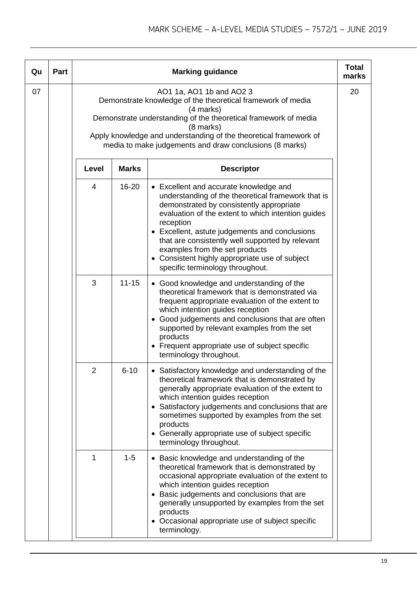| Qu | Part |                |              | <b>Marking guidance</b>                                                                                                                                                                                                                                                                                                                                                                                                                   | <b>Total</b><br>marks |
|----|------|----------------|--------------|-------------------------------------------------------------------------------------------------------------------------------------------------------------------------------------------------------------------------------------------------------------------------------------------------------------------------------------------------------------------------------------------------------------------------------------------|-----------------------|
| 07 |      |                |              | AO1 1a, AO1 1b and AO2 3<br>Demonstrate knowledge of the theoretical framework of media<br>(4 marks)<br>Demonstrate understanding of the theoretical framework of media<br>(8 marks)<br>Apply knowledge and understanding of the theoretical framework of<br>media to make judgements and draw conclusions (8 marks)                                                                                                                      | 20                    |
|    |      | Level          | <b>Marks</b> | <b>Descriptor</b>                                                                                                                                                                                                                                                                                                                                                                                                                         |                       |
|    |      | 4              | 16-20        | • Excellent and accurate knowledge and<br>understanding of the theoretical framework that is<br>demonstrated by consistently appropriate<br>evaluation of the extent to which intention guides<br>reception<br>• Excellent, astute judgements and conclusions<br>that are consistently well supported by relevant<br>examples from the set products<br>• Consistent highly appropriate use of subject<br>specific terminology throughout. |                       |
|    |      | 3              | $11 - 15$    | • Good knowledge and understanding of the<br>theoretical framework that is demonstrated via<br>frequent appropriate evaluation of the extent to<br>which intention guides reception<br>• Good judgements and conclusions that are often<br>supported by relevant examples from the set<br>products<br>• Frequent appropriate use of subject specific<br>terminology throughout.                                                           |                       |
|    |      | $\overline{2}$ | $6 - 10$     | • Satisfactory knowledge and understanding of the<br>theoretical framework that is demonstrated by<br>generally appropriate evaluation of the extent to<br>which intention guides reception<br>• Satisfactory judgements and conclusions that are<br>sometimes supported by examples from the set<br>products<br>Generally appropriate use of subject specific<br>٠<br>terminology throughout.                                            |                       |
|    |      | 1              | $1 - 5$      | • Basic knowledge and understanding of the<br>theoretical framework that is demonstrated by<br>occasional appropriate evaluation of the extent to<br>which intention guides reception<br>• Basic judgements and conclusions that are<br>generally unsupported by examples from the set<br>products<br>• Occasional appropriate use of subject specific<br>terminology.                                                                    |                       |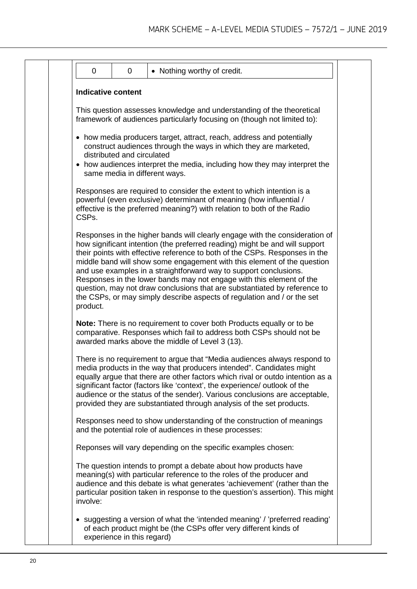| • Nothing worthy of credit.<br>0<br>0                                                                                                                                                                                                                                                                                                                                                                                                                                                                                                                                                                                                 |
|---------------------------------------------------------------------------------------------------------------------------------------------------------------------------------------------------------------------------------------------------------------------------------------------------------------------------------------------------------------------------------------------------------------------------------------------------------------------------------------------------------------------------------------------------------------------------------------------------------------------------------------|
| <b>Indicative content</b>                                                                                                                                                                                                                                                                                                                                                                                                                                                                                                                                                                                                             |
| This question assesses knowledge and understanding of the theoretical<br>framework of audiences particularly focusing on (though not limited to):                                                                                                                                                                                                                                                                                                                                                                                                                                                                                     |
| • how media producers target, attract, reach, address and potentially<br>construct audiences through the ways in which they are marketed,<br>distributed and circulated<br>• how audiences interpret the media, including how they may interpret the<br>same media in different ways.                                                                                                                                                                                                                                                                                                                                                 |
| Responses are required to consider the extent to which intention is a<br>powerful (even exclusive) determinant of meaning (how influential /<br>effective is the preferred meaning?) with relation to both of the Radio<br>CSPs.                                                                                                                                                                                                                                                                                                                                                                                                      |
| Responses in the higher bands will clearly engage with the consideration of<br>how significant intention (the preferred reading) might be and will support<br>their points with effective reference to both of the CSPs. Responses in the<br>middle band will show some engagement with this element of the question<br>and use examples in a straightforward way to support conclusions.<br>Responses in the lower bands may not engage with this element of the<br>question, may not draw conclusions that are substantiated by reference to<br>the CSPs, or may simply describe aspects of regulation and / or the set<br>product. |
| Note: There is no requirement to cover both Products equally or to be<br>comparative. Responses which fail to address both CSPs should not be<br>awarded marks above the middle of Level 3 (13).                                                                                                                                                                                                                                                                                                                                                                                                                                      |
| There is no requirement to argue that "Media audiences always respond to<br>media products in the way that producers intended". Candidates might<br>equally argue that there are other factors which rival or outdo intention as a<br>significant factor (factors like 'context', the experience/ outlook of the<br>audience or the status of the sender). Various conclusions are acceptable,<br>provided they are substantiated through analysis of the set products.                                                                                                                                                               |
| Responses need to show understanding of the construction of meanings<br>and the potential role of audiences in these processes:                                                                                                                                                                                                                                                                                                                                                                                                                                                                                                       |
| Reponses will vary depending on the specific examples chosen:                                                                                                                                                                                                                                                                                                                                                                                                                                                                                                                                                                         |
| The question intends to prompt a debate about how products have<br>meaning(s) with particular reference to the roles of the producer and<br>audience and this debate is what generates 'achievement' (rather than the<br>particular position taken in response to the question's assertion). This might<br>involve:                                                                                                                                                                                                                                                                                                                   |
| • suggesting a version of what the 'intended meaning' / 'preferred reading'<br>of each product might be (the CSPs offer very different kinds of<br>experience in this regard)                                                                                                                                                                                                                                                                                                                                                                                                                                                         |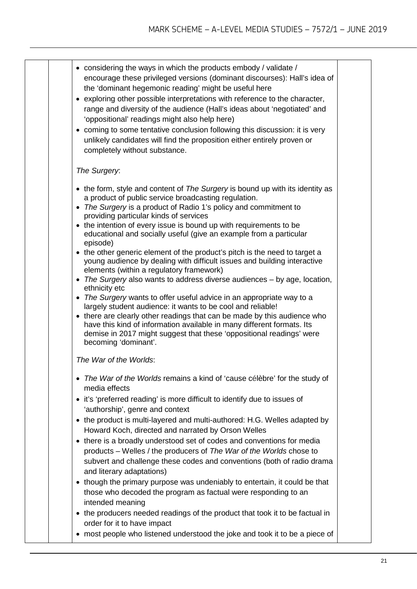| • considering the ways in which the products embody / validate /<br>encourage these privileged versions (dominant discourses): Hall's idea of<br>the 'dominant hegemonic reading' might be useful here |  |
|--------------------------------------------------------------------------------------------------------------------------------------------------------------------------------------------------------|--|
| • exploring other possible interpretations with reference to the character,<br>range and diversity of the audience (Hall's ideas about 'negotiated' and                                                |  |
| 'oppositional' readings might also help here)                                                                                                                                                          |  |
| • coming to some tentative conclusion following this discussion: it is very<br>unlikely candidates will find the proposition either entirely proven or                                                 |  |
|                                                                                                                                                                                                        |  |

## *The Surgery*:

completely without substance.

- the form, style and content of *The Surgery* is bound up with its identity as a product of public service broadcasting regulation.
- *The Surgery* is a product of Radio 1's policy and commitment to providing particular kinds of services
- the intention of every issue is bound up with requirements to be educational and socially useful (give an example from a particular episode)
- the other generic element of the product's pitch is the need to target a young audience by dealing with difficult issues and building interactive elements (within a regulatory framework)
- *The Surgery* also wants to address diverse audiences by age, location, ethnicity etc
- *The Surgery* wants to offer useful advice in an appropriate way to a largely student audience: it wants to be cool and reliable!
- there are clearly other readings that can be made by this audience who have this kind of information available in many different formats. Its demise in 2017 might suggest that these 'oppositional readings' were becoming 'dominant'.

*The War of the Worlds*:

- *The War of the Worlds* remains a kind of 'cause célèbre' for the study of media effects
- it's 'preferred reading' is more difficult to identify due to issues of 'authorship', genre and context
- the product is multi-layered and multi-authored: H.G. Welles adapted by Howard Koch, directed and narrated by Orson Welles
- there is a broadly understood set of codes and conventions for media products – Welles / the producers of *The War of the Worlds* chose to subvert and challenge these codes and conventions (both of radio drama and literary adaptations)
- though the primary purpose was undeniably to entertain, it could be that those who decoded the program as factual were responding to an intended meaning
- the producers needed readings of the product that took it to be factual in order for it to have impact
- most people who listened understood the joke and took it to be a piece of